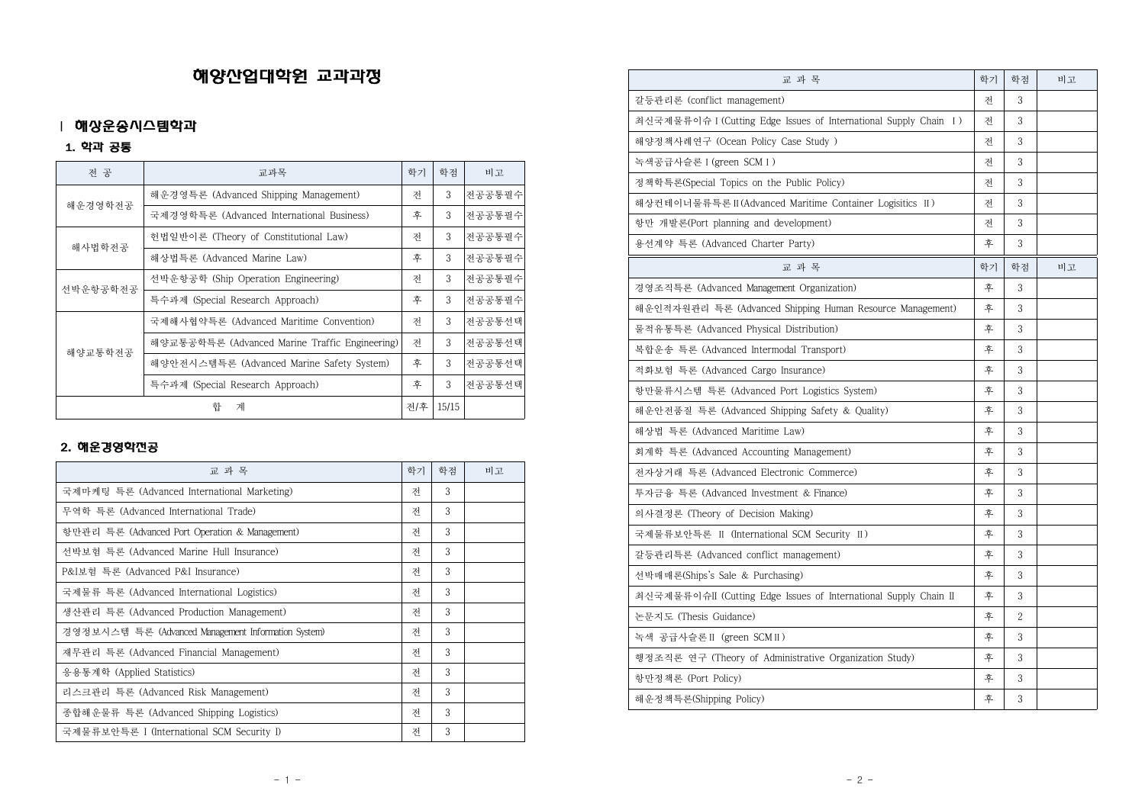# 해양산업대학원 교과과정

## Ⅰ 해상운송시스템학과

1. 학과 공통

| 전 공      | 교과목                                            | 학기  | 학점    | 비고     |
|----------|------------------------------------------------|-----|-------|--------|
| 해운경영학전공  | 해운경영특론 (Advanced Shipping Management)          | 젂   | 3     | 전공공통필수 |
|          | 국제경영학특론 (Advanced International Business)      | 후   | 3     | 전공공통필수 |
| 해사법학전공   | 헌법일반이론 (Theory of Constitutional Law)          | 저   | 3     | 전공공통필수 |
|          | 해상법특론 (Advanced Marine Law)                    | 후   | 3     | 전공공통필수 |
| 선박운항공학전공 | 선박운항공학 (Ship Operation Engineering)            | 저   | 3     | 전공공통필수 |
|          | 특수과제 (Special Research Approach)               | 후   | 3     | 전공공통필수 |
| 해양교통학전공  | 국제해사협약특론 (Advanced Maritime Convention)        | 저   | 3     | 전공공통선택 |
|          | 해양교통공학특론 (Advanced Marine Traffic Engineering) | 저   | 3     | 전공공통선택 |
|          | 해양안전시스템특론 (Advanced Marine Safety System)      | 후   | 3     | 전공공통선택 |
|          | 특수과제 (Special Research Approach)               | 후   | 3     | 전공공통선택 |
|          | 합<br>계                                         | 전/후 | 15/15 |        |

### 2. 해운경영학전공

| 교 과 목                                               | 학기 | 학점 | 비고 |
|-----------------------------------------------------|----|----|----|
| 국제마케팅 특론 (Advanced International Marketing)         | 저  | 3  |    |
| 무역학 특론 (Advanced International Trade)               | 저  | 3  |    |
| 항만관리 특론 (Advanced Port Operation & Management)      | 저  | 3  |    |
| 선박보험 특론 (Advanced Marine Hull Insurance)            | 저  | 3  |    |
| P&I보험 특론 (Advanced P&I Insurance)                   | 저  | 3  |    |
| 국제물류 특론 (Advanced International Logistics)          | 저  | 3  |    |
| 생산관리 특론 (Advanced Production Management)            | 저  | 3  |    |
| 경영정보시스템 특론 (Advanced Management Information System) | 저  | 3  |    |
| 재무관리 특론 (Advanced Financial Management)             | 저  | 3  |    |
| 응용통계학 (Applied Statistics)                          | 저  | 3  |    |
| 리스크관리 특론 (Advanced Risk Management)                 | 저  | 3  |    |
| 종합해운물류 특론 (Advanced Shipping Logistics)             | 저  | 3  |    |
| 국제물류보안특론 I (International SCM Security I)           | 저  | 3  |    |

| 교 과 목                                                            | 학기 | 학점             | 비고 |
|------------------------------------------------------------------|----|----------------|----|
| 갈등관리론 (conflict management)                                      | 젂  | 3              |    |
| 최신국제물류이슈 I (Cutting Edge Issues of International Supply Chain I) | 저  | 3              |    |
| 해양정책사례연구 (Ocean Policy Case Study )                              | 저  | 3              |    |
| 녹색공급사슬론 I (green SCM I )                                         | 저  | 3              |    |
| 정책학특론(Special Topics on the Public Policy)                       | 저  | 3              |    |
| 해상컨테이너물류특론 II (Advanced Maritime Container Logisitics II)        | 저  | 3              |    |
| 항만 개발론(Port planning and development)                            | 저  | 3              |    |
| 용선계약 특론 (Advanced Charter Party)                                 | 후  | 3              |    |
| 교 과 목                                                            | 학기 | 학점             | 비고 |
| 경영조직특론 (Advanced Management Organization)                        | 후  | 3              |    |
| 해운인적자원관리 특론 (Advanced Shipping Human Resource Management)        | 후  | 3              |    |
| 물적유통특론 (Advanced Physical Distribution)                          | 후  | 3              |    |
| 복합운송 특론 (Advanced Intermodal Transport)                          | 후  | 3              |    |
| 적화보험 특론 (Advanced Cargo Insurance)                               | 후  | 3              |    |
| 항만물류시스템 특론 (Advanced Port Logistics System)                      | 후  | 3              |    |
| 해운안전품질 특론 (Advanced Shipping Safety & Quality)                   | 후  | 3              |    |
| 해상법 특론 (Advanced Maritime Law)                                   | 후  | 3              |    |
| 회계학 특론 (Advanced Accounting Management)                          | 후  | 3              |    |
| 전자상거래 특론 (Advanced Electronic Commerce)                          | 후  | 3              |    |
| 투자금융 특론 (Advanced Investment & Finance)                          | 후  | 3              |    |
| 의사결정론 (Theory of Decision Making)                                | 후  | 3              |    |
| 국제물류보안특론 II (International SCM Security II)                      | 후  | 3              |    |
| 갈등관리특론 (Advanced conflict management)                            | 후  | 3              |    |
| 선박매매론(Ships's Sale & Purchasing)                                 | 후  | 3              |    |
| 최신국제물류이슈II (Cutting Edge Issues of International Supply Chain II | 후  | 3              |    |
| 논문지도 (Thesis Guidance)                                           | 후  | $\overline{c}$ |    |
| 녹색 공급사슬론 II (green SCM II)                                       | 후  | 3              |    |
| 행정조직론 연구 (Theory of Administrative Organization Study)           | 후  | 3              |    |
| 항만정책론 (Port Policy)                                              | 후  | 3              |    |
| 해운정책특론(Shipping Policy)                                          | 후  | 3              |    |
|                                                                  |    |                |    |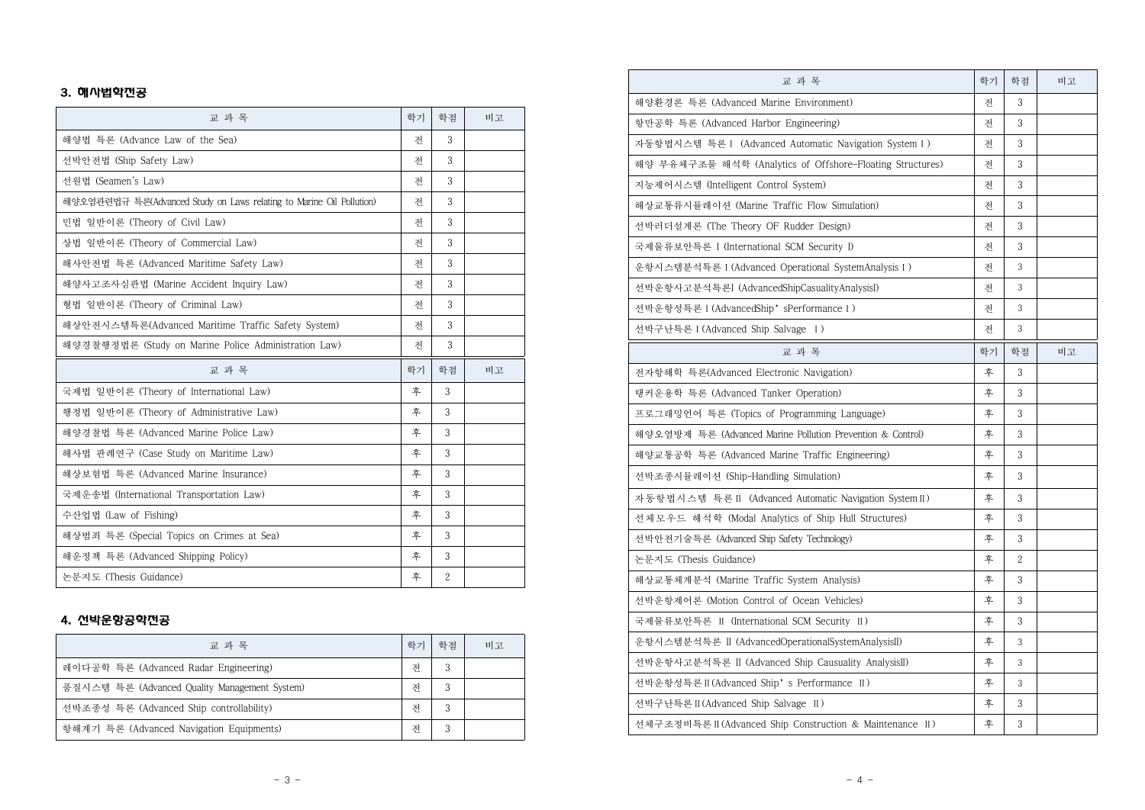#### 3. 해사법학전공

| 교 과 목                                                                | 학기 | 학점             | 비고 |
|----------------------------------------------------------------------|----|----------------|----|
| 해양법 특론 (Advance Law of the Sea)                                      | 저  | 3              |    |
| 선박안전법 (Ship Safety Law)                                              | 저  | 3              |    |
| 선원법 (Seamen's Law)                                                   | 저  | 3              |    |
| 해양오염관련법규 특론(Advanced Study on Laws relating to Marine Oil Pollution) | 저  | 3              |    |
| 민법 일반이론 (Theory of Civil Law)                                        | 저  | 3              |    |
| 상법 일반이론 (Theory of Commercial Law)                                   | 저  | 3              |    |
| 해사안전법 특론 (Advanced Maritime Safety Law)                              | 저  | 3              |    |
| 해양사고조사심판법 (Marine Accident Inquiry Law)                              | 저  | 3              |    |
| 형법 일반이론 (Theory of Criminal Law)                                     | 저  | 3              |    |
| 해상안전시스템특론(Advanced Maritime Traffic Safety System)                   | 저  | 3              |    |
| 해양경찰행정법론 (Study on Marine Police Administration Law)                 | 저  | 3              |    |
| 교 과 목                                                                | 학기 | 학점             | 비고 |
| 국제법 일반이론 (Theory of International Law)                               | 후  | 3              |    |
| 행정법 일반이론 (Theory of Administrative Law)                              | 후  | 3              |    |
| 해양경찰법 특론 (Advanced Marine Police Law)                                | 후  | 3              |    |
| 해사법 판례연구 (Case Study on Maritime Law)                                | 후  | 3              |    |
| 해상보험법 특론 (Advanced Marine Insurance)                                 | 후  | 3              |    |
| 국제운송법 (International Transportation Law)                             | 후  | 3              |    |
| 수산업법 (Law of Fishing)                                                | 후  | 3              |    |
| 해상범죄 특론 (Special Topics on Crimes at Sea)                            | 후  | 3              |    |
| 해운정책 특론 (Advanced Shipping Policy)                                   | 후  | 3              |    |
| 논문지도 (Thesis Guidance)                                               | 후  | $\overline{c}$ |    |

#### 4. 선박운항공학전공

| 교 과 목                                         | 학기 | 학적 | 비고 |
|-----------------------------------------------|----|----|----|
| 레이다공학 특론 (Advanced Radar Engineering)         | 저  | 3  |    |
| 품질시스템 특론 (Advanced Quality Management System) | 저  | 3  |    |
| 선박조종성 특론 (Advanced Ship controllability)      | 저  | 3  |    |
| 항해계기 특론 (Advanced Navigation Equipments)      | 저  | 3  |    |

| 교 과 목                                                      | 학기 | 학점           | 비고 |
|------------------------------------------------------------|----|--------------|----|
| 해양환경론 특론 (Advanced Marine Environment)                     | 저  | 3            |    |
| 항만공학 특론 (Advanced Harbor Engineering)                      | 저  | 3            |    |
| 자동항법시스템 특론 I (Advanced Automatic Navigation System I)      | 전  | 3            |    |
| 해양 부유체구조물 해석학 (Analytics of Offshore-Floating Structures)  | 전  | 3            |    |
| 지능제어시스템 (Intelligent Control System)                       | 저  | 3            |    |
| 해상교통류시뮬레이션 (Marine Traffic Flow Simulation)                | 전  | 3            |    |
| 선박러더설계론 (The Theory OF Rudder Design)                      | 전  | 3            |    |
| 국제물류보안특론 I (International SCM Security I)                  | 저  | 3            |    |
| 운항시스템분석특론 I (Advanced Operational SystemAnalysis I )       | 젂  | 3            |    |
| 선박운항사고분석특론I (AdvancedShipCasualityAnalysisI)               | 전  | 3            |    |
| 선박운항성특론 I (AdvancedShip'sPerformance I )                   | 전  | 3            |    |
| 선박구난특론 I (Advanced Ship Salvage I)                         | 저  | 3            |    |
| 교 과 목                                                      | 학기 | 학점           | 비고 |
| 전자항해학 특론(Advanced Electronic Navigation)                   | 후  | 3            |    |
| 탱커운용학 특론 (Advanced Tanker Operation)                       | 후  | 3            |    |
| 프로그래밍언어 특론 (Topics of Programming Language)                | 후  | 3            |    |
| 해양오염방제 특론 (Advanced Marine Pollution Prevention & Control) | 후  | 3            |    |
| 해양교통공학 특론 (Advanced Marine Traffic Engineering)            | 후  | 3            |    |
| 선박조종시뮬레이션 (Ship-Handling Simulation)                       | 후  | 3            |    |
| 자동항법시스템 특론 II (Advanced Automatic Navigation System II)    | 후  | 3            |    |
| 선체모우드 해석학 (Modal Analytics of Ship Hull Structures)        | 후  | 3            |    |
| 선박안전기술특론 (Advanced Ship Safety Technology)                 | 후  | 3            |    |
| 논문지도 (Thesis Guidance)                                     | 후  | $\mathbf{2}$ |    |
| 해상교통체계분석 (Marine Traffic System Analysis)                  | 후  | 3            |    |
| 선박운항제어론 (Motion Control of Ocean Vehicles)                 | 후  | 3            |    |
| 국제물류보안특론 II (International SCM Security II)                | 후  | 3            |    |
| 운항시스템분석특론 II (AdvancedOperationalSystemAnalysisII)         | 후  | 3            |    |
| 선박운항사고분석특론 II (Advanced Ship Causuality AnalysisII)        | 후  | 3            |    |
| 선박운항성특론 II (Advanced Ship's Performance II)                | 후  | 3            |    |
| 선박구난특론 II (Advanced Ship Salvage II )                      | 후  | 3            |    |
| 선체구조정비특론 II (Advanced Ship Construction & Maintenance II)  | 후  | 3            |    |
|                                                            |    |              |    |